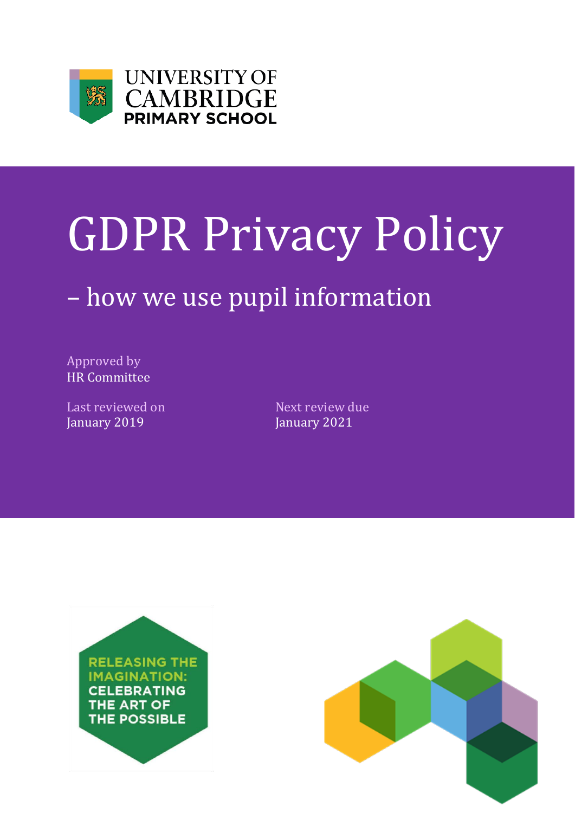



# GDPR Privacy Policy

## – how we use pupil information

Approved by HR Committee

Last reviewed on Next review due January 2019 **January 2021** 



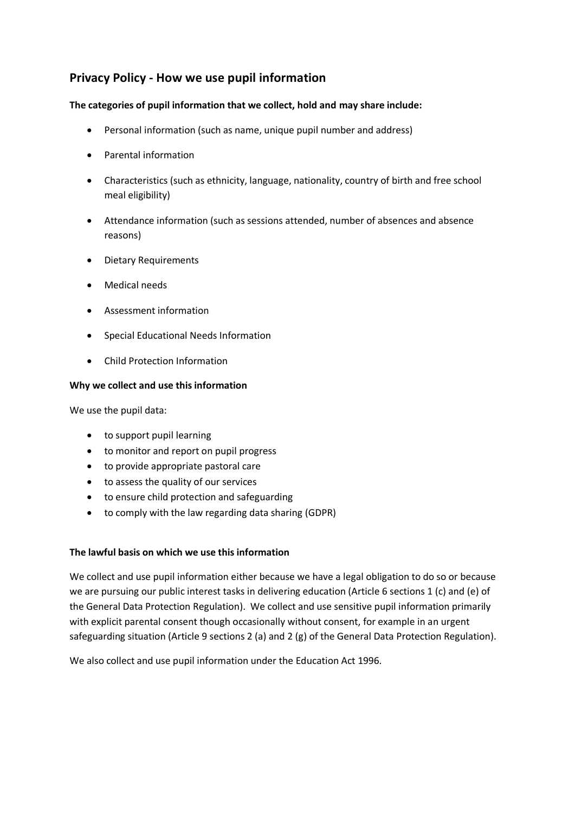### **Privacy Policy - How we use pupil information**

#### **The categories of pupil information that we collect, hold and may share include:**

- Personal information (such as name, unique pupil number and address)
- Parental information
- Characteristics (such as ethnicity, language, nationality, country of birth and free school meal eligibility)
- Attendance information (such as sessions attended, number of absences and absence reasons)
- Dietary Requirements
- Medical needs
- Assessment information
- Special Educational Needs Information
- Child Protection Information

#### **Why we collect and use this information**

We use the pupil data:

- to support pupil learning
- to monitor and report on pupil progress
- to provide appropriate pastoral care
- to assess the quality of our services
- to ensure child protection and safeguarding
- to comply with the law regarding data sharing (GDPR)

#### **The lawful basis on which we use this information**

We collect and use pupil information either because we have a legal obligation to do so or because we are pursuing our public interest tasks in delivering education (Article 6 sections 1 (c) and (e) of the General Data Protection Regulation). We collect and use sensitive pupil information primarily with explicit parental consent though occasionally without consent, for example in an urgent safeguarding situation (Article 9 sections 2 (a) and 2 (g) of the General Data Protection Regulation).

We also collect and use pupil information under the Education Act 1996.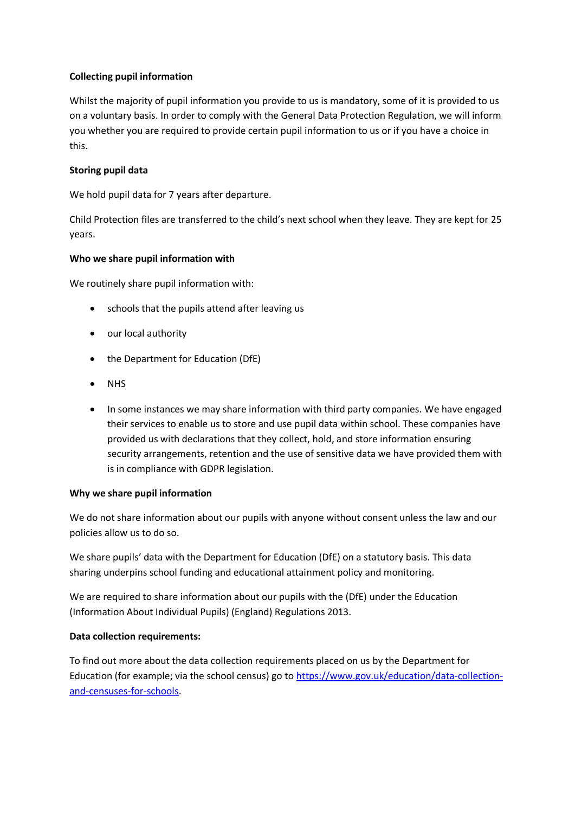#### **Collecting pupil information**

Whilst the majority of pupil information you provide to us is mandatory, some of it is provided to us on a voluntary basis. In order to comply with the General Data Protection Regulation, we will inform you whether you are required to provide certain pupil information to us or if you have a choice in this.

#### **Storing pupil data**

We hold pupil data for 7 years after departure.

Child Protection files are transferred to the child's next school when they leave. They are kept for 25 years.

#### **Who we share pupil information with**

We routinely share pupil information with:

- schools that the pupils attend after leaving us
- our local authority
- the Department for Education (DfE)
- NHS
- In some instances we may share information with third party companies. We have engaged their services to enable us to store and use pupil data within school. These companies have provided us with declarations that they collect, hold, and store information ensuring security arrangements, retention and the use of sensitive data we have provided them with is in compliance with GDPR legislation.

#### **Why we share pupil information**

We do not share information about our pupils with anyone without consent unless the law and our policies allow us to do so.

We share pupils' data with the Department for Education (DfE) on a statutory basis. This data sharing underpins school funding and educational attainment policy and monitoring.

We are required to share information about our pupils with the (DfE) under the Education (Information About Individual Pupils) (England) Regulations 2013.

#### **Data collection requirements:**

To find out more about the data collection requirements placed on us by the Department for Education (for example; via the school census) go to [https://www.gov.uk/education/data-collection](https://www.gov.uk/education/data-collection-and-censuses-for-schools)[and-censuses-for-schools.](https://www.gov.uk/education/data-collection-and-censuses-for-schools)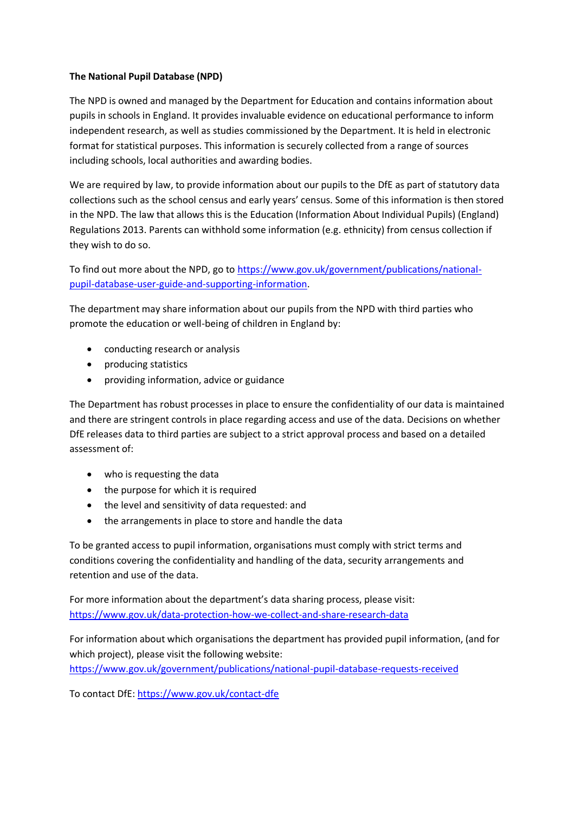#### **The National Pupil Database (NPD)**

The NPD is owned and managed by the Department for Education and contains information about pupils in schools in England. It provides invaluable evidence on educational performance to inform independent research, as well as studies commissioned by the Department. It is held in electronic format for statistical purposes. This information is securely collected from a range of sources including schools, local authorities and awarding bodies.

We are required by law, to provide information about our pupils to the DfE as part of statutory data collections such as the school census and early years' census. Some of this information is then stored in the NPD. The law that allows this is the Education (Information About Individual Pupils) (England) Regulations 2013. Parents can withhold some information (e.g. ethnicity) from census collection if they wish to do so.

To find out more about the NPD, go to [https://www.gov.uk/government/publications/national](https://www.gov.uk/government/publications/national-pupil-database-user-guide-and-supporting-information)[pupil-database-user-guide-and-supporting-information.](https://www.gov.uk/government/publications/national-pupil-database-user-guide-and-supporting-information)

The department may share information about our pupils from the NPD with third parties who promote the education or well-being of children in England by:

- conducting research or analysis
- producing statistics
- providing information, advice or guidance

The Department has robust processes in place to ensure the confidentiality of our data is maintained and there are stringent controls in place regarding access and use of the data. Decisions on whether DfE releases data to third parties are subject to a strict approval process and based on a detailed assessment of:

- who is requesting the data
- the purpose for which it is required
- the level and sensitivity of data requested: and
- the arrangements in place to store and handle the data

To be granted access to pupil information, organisations must comply with strict terms and conditions covering the confidentiality and handling of the data, security arrangements and retention and use of the data.

For more information about the department's data sharing process, please visit: <https://www.gov.uk/data-protection-how-we-collect-and-share-research-data>

For information about which organisations the department has provided pupil information, (and for which project), please visit the following website:

<https://www.gov.uk/government/publications/national-pupil-database-requests-received>

To contact DfE:<https://www.gov.uk/contact-dfe>